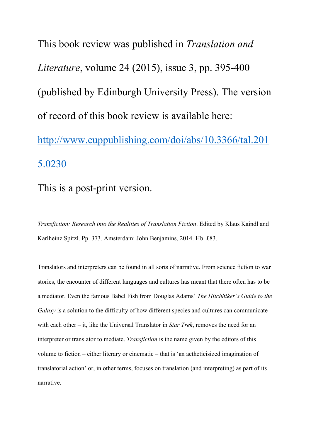This book review was published in *Translation and Literature*, volume 24 (2015), issue 3, pp. 395-400 (published by Edinburgh University Press). The version of record of this book review is available here:

[http://www.euppublishing.com/doi/abs/10.3366/tal.201](http://www.euppublishing.com/doi/abs/10.3366/tal.2015.0230) [5.0230](http://www.euppublishing.com/doi/abs/10.3366/tal.2015.0230)

This is a post-print version.

*Transfiction: Research into the Realities of Translation Fiction*. Edited by Klaus Kaindl and Karlheinz Spitzl. Pp. 373. Amsterdam: John Benjamins, 2014. Hb. £83.

Translators and interpreters can be found in all sorts of narrative. From science fiction to war stories, the encounter of different languages and cultures has meant that there often has to be a mediator. Even the famous Babel Fish from Douglas Adams' *The Hitchhiker's Guide to the Galaxy* is a solution to the difficulty of how different species and cultures can communicate with each other – it, like the Universal Translator in *Star Trek*, removes the need for an interpreter or translator to mediate. *Transfiction* is the name given by the editors of this volume to fiction – either literary or cinematic – that is 'an aetheticisized imagination of translatorial action' or, in other terms, focuses on translation (and interpreting) as part of its narrative.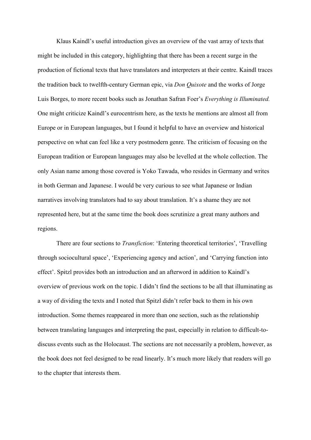Klaus Kaindl's useful introduction gives an overview of the vast array of texts that might be included in this category, highlighting that there has been a recent surge in the production of fictional texts that have translators and interpreters at their centre. Kaindl traces the tradition back to twelfth-century German epic, via *Don Quixote* and the works of Jorge Luis Borges, to more recent books such as Jonathan Safran Foer's *Everything is Illuminated.* One might criticize Kaindl's eurocentrism here, as the texts he mentions are almost all from Europe or in European languages, but I found it helpful to have an overview and historical perspective on what can feel like a very postmodern genre. The criticism of focusing on the European tradition or European languages may also be levelled at the whole collection. The only Asian name among those covered is Yoko Tawada, who resides in Germany and writes in both German and Japanese. I would be very curious to see what Japanese or Indian narratives involving translators had to say about translation. It's a shame they are not represented here, but at the same time the book does scrutinize a great many authors and regions.

There are four sections to *Transfiction*: 'Entering theoretical territories', 'Travelling through sociocultural space', 'Experiencing agency and action', and 'Carrying function into effect'. Spitzl provides both an introduction and an afterword in addition to Kaindl's overview of previous work on the topic. I didn't find the sections to be all that illuminating as a way of dividing the texts and I noted that Spitzl didn't refer back to them in his own introduction. Some themes reappeared in more than one section, such as the relationship between translating languages and interpreting the past, especially in relation to difficult-todiscuss events such as the Holocaust. The sections are not necessarily a problem, however, as the book does not feel designed to be read linearly. It's much more likely that readers will go to the chapter that interests them.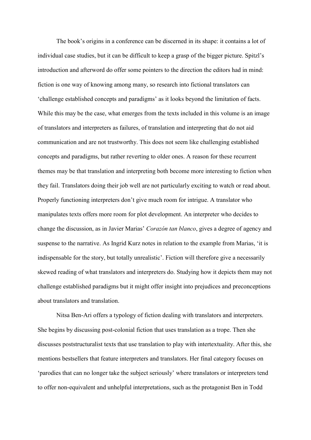The book's origins in a conference can be discerned in its shape: it contains a lot of individual case studies, but it can be difficult to keep a grasp of the bigger picture. Spitzl's introduction and afterword do offer some pointers to the direction the editors had in mind: fiction is one way of knowing among many, so research into fictional translators can 'challenge established concepts and paradigms' as it looks beyond the limitation of facts. While this may be the case, what emerges from the texts included in this volume is an image of translators and interpreters as failures, of translation and interpreting that do not aid communication and are not trustworthy. This does not seem like challenging established concepts and paradigms, but rather reverting to older ones. A reason for these recurrent themes may be that translation and interpreting both become more interesting to fiction when they fail. Translators doing their job well are not particularly exciting to watch or read about. Properly functioning interpreters don't give much room for intrigue. A translator who manipulates texts offers more room for plot development. An interpreter who decides to change the discussion, as in Javier Marias' *Corazón tan blanco*, gives a degree of agency and suspense to the narrative. As Ingrid Kurz notes in relation to the example from Marias, 'it is indispensable for the story, but totally unrealistic'. Fiction will therefore give a necessarily skewed reading of what translators and interpreters do. Studying how it depicts them may not challenge established paradigms but it might offer insight into prejudices and preconceptions about translators and translation.

Nitsa Ben-Ari offers a typology of fiction dealing with translators and interpreters. She begins by discussing post-colonial fiction that uses translation as a trope. Then she discusses poststructuralist texts that use translation to play with intertextuality. After this, she mentions bestsellers that feature interpreters and translators. Her final category focuses on 'parodies that can no longer take the subject seriously' where translators or interpreters tend to offer non-equivalent and unhelpful interpretations, such as the protagonist Ben in Todd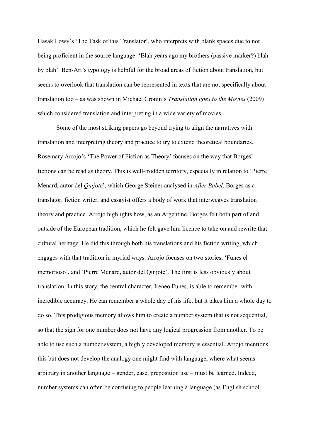Hasak Lowy's 'The Task of this Translator', who interprets with blank spaces due to not being proficient in the source language: 'Blah years ago my brothers (passive marker?) blah by blah'. Ben-Ari's typology is helpful for the broad areas of fiction about translation, but seems to overlook that translation can be represented in texts that are not specifically about translation too – as was shown in Michael Cronin's *Translation goes to the Movies* (2009) which considered translation and interpreting in a wide variety of movies.

Some of the most striking papers go beyond trying to align the narratives with translation and interpreting theory and practice to try to extend theoretical boundaries. Rosemary Arrojo's 'The Power of Fiction as Theory' focuses on the way that Borges' fictions can be read as theory. This is well-trodden territory, especially in relation to 'Pierre Menard, autor del *Quijote*', which George Steiner analysed in *After Babel*. Borges as a translator, fiction writer, and essayist offers a body of work that interweaves translation theory and practice. Arrojo highlights how, as an Argentine, Borges felt both part of and outside of the European tradition, which he felt gave him licence to take on and rewrite that cultural heritage. He did this through both his translations and his fiction writing, which engages with that tradition in myriad ways. Arrojo focuses on two stories, 'Funes el memorioso', and 'Pierre Menard, autor del Quijote'. The first is less obviously about translation. In this story, the central character, Ireneo Funes, is able to remember with incredible accuracy. He can remember a whole day of his life, but it takes him a whole day to do so. This prodigious memory allows him to create a number system that is not sequential, so that the sign for one number does not have any logical progression from another. To be able to use such a number system, a highly developed memory is essential. Arrojo mentions this but does not develop the analogy one might find with language, where what seems arbitrary in another language – gender, case, preposition use – must be learned. Indeed, number systems can often be confusing to people learning a language (as English school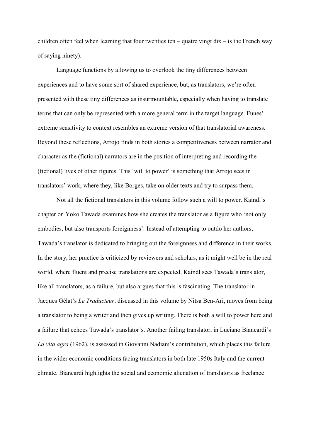children often feel when learning that four twenties ten – quatre vingt dix – is the French way of saying ninety).

Language functions by allowing us to overlook the tiny differences between experiences and to have some sort of shared experience, but, as translators, we're often presented with these tiny differences as insurmountable, especially when having to translate terms that can only be represented with a more general term in the target language. Funes' extreme sensitivity to context resembles an extreme version of that translatorial awareness. Beyond these reflections, Arrojo finds in both stories a competitiveness between narrator and character as the (fictional) narrators are in the position of interpreting and recording the (fictional) lives of other figures. This 'will to power' is something that Arrojo sees in translators' work, where they, like Borges, take on older texts and try to surpass them.

Not all the fictional translators in this volume follow such a will to power. Kaindl's chapter on Yoko Tawada examines how she creates the translator as a figure who 'not only embodies, but also transports foreignness'. Instead of attempting to outdo her authors, Tawada's translator is dedicated to bringing out the foreignness and difference in their works. In the story, her practice is criticized by reviewers and scholars, as it might well be in the real world, where fluent and precise translations are expected. Kaindl sees Tawada's translator, like all translators, as a failure, but also argues that this is fascinating. The translator in Jacques Gélat's *Le Traducteur*, discussed in this volume by Nitsa Ben-Ari, moves from being a translator to being a writer and then gives up writing. There is both a will to power here and a failure that echoes Tawada's translator's. Another failing translator, in Luciano Biancardi's *La vita agra* (1962), is assessed in Giovanni Nadiani's contribution, which places this failure in the wider economic conditions facing translators in both late 1950s Italy and the current climate. Biancardi highlights the social and economic alienation of translators as freelance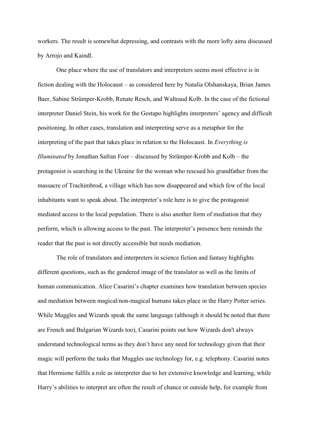workers. The result is somewhat depressing, and contrasts with the more lofty aims discussed by Arrojo and Kaindl.

One place where the use of translators and interpreters seems most effective is in fiction dealing with the Holocaust – as considered here by Natalia Olshanskaya, Brian James Baer, Sabine Strümper-Krobb, Renate Resch, and Waltraud Kolb. In the case of the fictional interpreter Daniel Stein, his work for the Gestapo highlights interpreters' agency and difficult positioning. In other cases, translation and interpreting serve as a metaphor for the interpreting of the past that takes place in relation to the Holocaust. In *Everything is Illuminated* by Jonathan Safran Foer – discussed by Strümper-Krobb and Kolb – the protagonist is searching in the Ukraine for the woman who rescued his grandfather from the massacre of Trachimbrod, a village which has now disappeared and which few of the local inhabitants want to speak about. The interpreter's role here is to give the protagonist mediated access to the local population. There is also another form of mediation that they perform, which is allowing access to the past. The interpreter's presence here reminds the reader that the past is not directly accessible but needs mediation.

The role of translators and interpreters in science fiction and fantasy highlights different questions, such as the gendered image of the translator as well as the limits of human communication. Alice Casarini's chapter examines how translation between species and mediation between magical/non-magical humans takes place in the Harry Potter series. While Muggles and Wizards speak the same language (although it should be noted that there are French and Bulgarian Wizards too), Casarini points out how Wizards don't always understand technological terms as they don't have any need for technology given that their magic will perform the tasks that Muggles use technology for, e.g. telephony. Casarini notes that Hermione fulfils a role as interpreter due to her extensive knowledge and learning, while Harry's abilities to interpret are often the result of chance or outside help, for example from